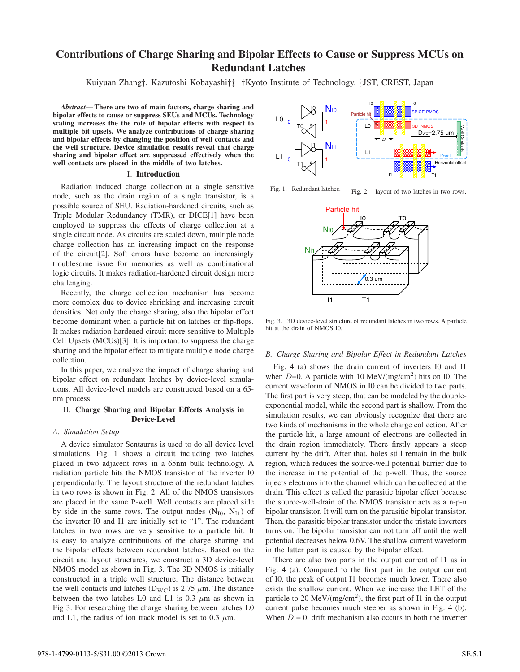## **Contributions of Charge Sharing and Bipolar Effects to Cause or Suppress MCUs on Redundant Latches**

Kuiyuan Zhang*†*, Kazutoshi Kobayashi*†‡ †*Kyoto Institute of Technology, *‡*JST, CREST, Japan

*Abstract***— There are two of main factors, charge sharing and bipolar effects to cause or suppress SEUs and MCUs. Technology scaling increases the the role of bipolar effects with respect to multiple bit upsets. We analyze contributions of charge sharing and bipolar effects by changing the position of well contacts and the well structure. Device simulation results reveal that charge sharing and bipolar effect are suppressed effectively when the well contacts are placed in the middle of two latches.**

### I. **Introduction**

Radiation induced charge collection at a single sensitive node, such as the drain region of a single transistor, is a possible source of SEU. Radiation-hardened circuits, such as Triple Modular Redundancy (TMR), or DICE[1] have been employed to suppress the effects of charge collection at a single circuit node. As circuits are scaled down, multiple node charge collection has an increasing impact on the response of the circuit[2]. Soft errors have become an increasingly troublesome issue for memories as well as combinational logic circuits. It makes radiation-hardened circuit design more challenging.

Recently, the charge collection mechanism has become more complex due to device shrinking and increasing circuit densities. Not only the charge sharing, also the bipolar effect become dominant when a particle hit on latches or flip-flops. It makes radiation-hardened circuit more sensitive to Multiple Cell Upsets (MCUs)[3]. It is important to suppress the charge sharing and the bipolar effect to mitigate multiple node charge collection.

In this paper, we analyze the impact of charge sharing and bipolar effect on redundant latches by device-level simulations. All device-level models are constructed based on a 65 nm process.

### II. **Charge Sharing and Bipolar Effects Analysis in Device-Level**

### *A. Simulation Setup*

A device simulator Sentaurus is used to do all device level simulations. Fig. 1 shows a circuit including two latches placed in two adjacent rows in a 65nm bulk technology. A radiation particle hits the NMOS transistor of the inverter I0 perpendicularly. The layout structure of the redundant latches in two rows is shown in Fig. 2. All of the NMOS transistors are placed in the same P-well. Well contacts are placed side by side in the same rows. The output nodes  $(N_{I0}, N_{I1})$  of the inverter I0 and I1 are initially set to "1". The redundant latches in two rows are very sensitive to a particle hit. It is easy to analyze contributions of the charge sharing and the bipolar effects between redundant latches. Based on the circuit and layout structures, we construct a 3D device-level NMOS model as shown in Fig. 3. The 3D NMOS is initially constructed in a triple well structure. The distance between the well contacts and latches ( $D_{\text{WC}}$ ) is 2.75  $\mu$ m. The distance between the two latches L0 and L1 is  $0.3 \mu m$  as shown in Fig 3. For researching the charge sharing between latches L0 and L1, the radius of ion track model is set to  $0.3 \mu$ m.



Fig. 1. Redundant latches. Fig. 2. layout of two latches in two rows.



Fig. 3. 3D device-level structure of redundant latches in two rows. A particle hit at the drain of NMOS I0.

### *B. Charge Sharing and Bipolar Effect in Redundant Latches*

Fig. 4 (a) shows the drain current of inverters I0 and I1 when  $D=0$ . A particle with 10 MeV/(mg/cm<sup>2</sup>) hits on I0. The current waveform of NMOS in I0 can be divided to two parts. The first part is very steep, that can be modeled by the doubleexponential model, while the second part is shallow. From the simulation results, we can obviously recognize that there are two kinds of mechanisms in the whole charge collection. After the particle hit, a large amount of electrons are collected in the drain region immediately. There firstly appears a steep current by the drift. After that, holes still remain in the bulk region, which reduces the source-well potential barrier due to the increase in the potential of the p-well. Thus, the source injects electrons into the channel which can be collected at the drain. This effect is called the parasitic bipolar effect because the source-well-drain of the NMOS transistor acts as a n-p-n bipolar transistor. It will turn on the parasitic bipolar transistor. Then, the parasitic bipolar transistor under the tristate inverters turns on. The bipolar transistor can not turn off until the well potential decreases below 0.6V. The shallow current waveform in the latter part is caused by the bipolar effect.

There are also two parts in the output current of I1 as in Fig. 4 (a). Compared to the first part in the output current of I0, the peak of output I1 becomes much lower. There also exists the shallow current. When we increase the LET of the particle to 20 MeV/(mg/cm<sup>2</sup>), the first part of I1 in the output current pulse becomes much steeper as shown in Fig. 4 (b). When  $D = 0$ , drift mechanism also occurs in both the inverter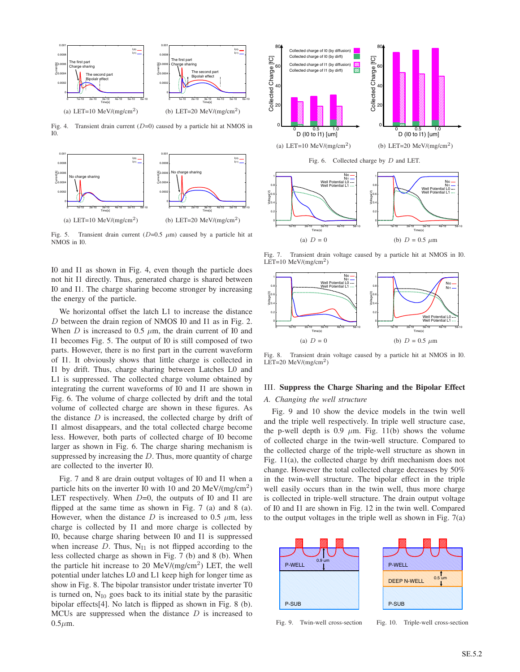

Fig. 4. Transient drain current (*D*=0) caused by a particle hit at NMOS in I0.



Fig. 5. Transient drain current  $(D=0.5 \mu m)$  caused by a particle hit at NMOS in I0.

I0 and I1 as shown in Fig. 4, even though the particle does not hit I1 directly. Thus, generated charge is shared between I0 and I1. The charge sharing become stronger by increasing the energy of the particle.

We horizontal offset the latch L1 to increase the distance *D* between the drain region of NMOS I0 and I1 as in Fig. 2. When *D* is increased to 0.5  $\mu$ m, the drain current of I0 and I1 becomes Fig. 5. The output of I0 is still composed of two parts. However, there is no first part in the current waveform of I1. It obviously shows that little charge is collected in I1 by drift. Thus, charge sharing between Latches L0 and L1 is suppressed. The collected charge volume obtained by integrating the current waveforms of I0 and I1 are shown in Fig. 6. The volume of charge collected by drift and the total volume of collected charge are shown in these figures. As the distance *D* is increased, the collected charge by drift of I1 almost disappears, and the total collected charge become less. However, both parts of collected charge of I0 become larger as shown in Fig. 6. The charge sharing mechanism is suppressed by increasing the *D*. Thus, more quantity of charge are collected to the inverter I0.

Fig. 7 and 8 are drain output voltages of I0 and I1 when a particle hits on the inverter I0 with 10 and 20 MeV/( $mg/cm<sup>2</sup>$ ) LET respectively. When *D*=0, the outputs of I0 and I1 are flipped at the same time as shown in Fig. 7 (a) and 8 (a). However, when the distance  $D$  is increased to 0.5  $\mu$ m, less charge is collected by I1 and more charge is collected by I0, because charge sharing between I0 and I1 is suppressed when increase  $D$ . Thus,  $N_{11}$  is not flipped according to the less collected charge as shown in Fig. 7 (b) and 8 (b). When the particle hit increase to 20 MeV/ $(mg/cm^2)$  LET, the well potential under latches L0 and L1 keep high for longer time as show in Fig. 8. The bipolar transistor under tristate inverter T0 is turned on,  $N_{I0}$  goes back to its initial state by the parasitic bipolar effects[4]. No latch is flipped as shown in Fig. 8 (b). MCUs are suppressed when the distance *D* is increased to  $0.5 \mu m$ .



Fig. 7. Transient drain voltage caused by a particle hit at NMOS in I0. LET=10  $MeV/(mg/cm^2)$ 



Fig. 8. Transient drain voltage caused by a particle hit at NMOS in I0. LET=20  $MeV/(mg/cm^2)$ 

# III. **Suppress the Charge Sharing and the Bipolar Effect**

### *A. Changing the well structure*

Fig. 9 and 10 show the device models in the twin well and the triple well respectively. In triple well structure case, the p-well depth is 0.9  $\mu$ m. Fig. 11(b) shows the volume of collected charge in the twin-well structure. Compared to the collected charge of the triple-well structure as shown in Fig. 11(a), the collected charge by drift mechanism does not change. However the total collected charge decreases by 50% in the twin-well structure. The bipolar effect in the triple well easily occurs than in the twin well, thus more charge is collected in triple-well structure. The drain output voltage of I0 and I1 are shown in Fig. 12 in the twin well. Compared to the output voltages in the triple well as shown in Fig. 7(a)



Fig. 9. Twin-well cross-section

Fig. 10. Triple-well cross-section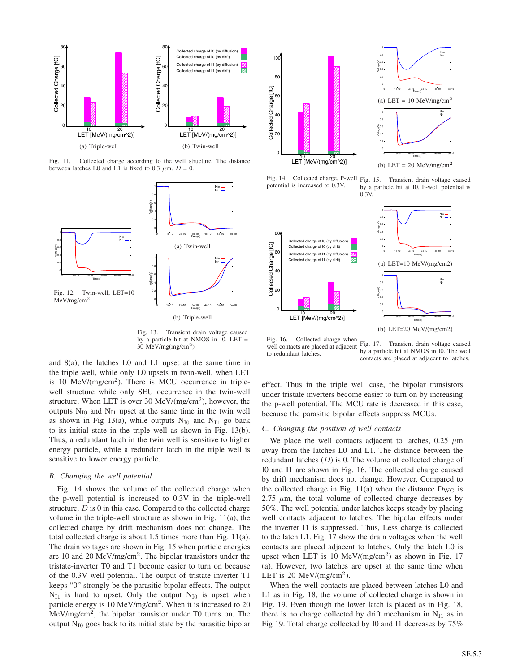

Fig. 11. Collected charge according to the well structure. The distance between latches L0 and L1 is fixed to 0.3  $\mu$ m. *D* = 0.



Fig. 13. Transient drain voltage caused by a particle hit at NMOS in I0. LET = 30 MeV/mg(mg/cm2)

and 8(a), the latches L0 and L1 upset at the same time in the triple well, while only L0 upsets in twin-well, when LET is 10 MeV/ $(mg/cm<sup>2</sup>)$ . There is MCU occurrence in triplewell structure while only SEU occurrence in the twin-well structure. When LET is over 30 MeV/(mg/cm<sup>2</sup>), however, the outputs  $N_{I0}$  and  $N_{I1}$  upset at the same time in the twin well as shown in Fig 13(a), while outputs  $N_{I0}$  and  $N_{I1}$  go back to its initial state in the triple well as shown in Fig. 13(b). Thus, a redundant latch in the twin well is sensitive to higher energy particle, while a redundant latch in the triple well is sensitive to lower energy particle.

### *B. Changing the well potential*

Fig. 14 shows the volume of the collected charge when the p-well potential is increased to 0.3V in the triple-well structure. *D* is 0 in this case. Compared to the collected charge volume in the triple-well structure as shown in Fig. 11(a), the collected charge by drift mechanism does not change. The total collected charge is about 1.5 times more than Fig. 11(a). The drain voltages are shown in Fig. 15 when particle energies are 10 and 20 MeV/mg/cm<sup>2</sup>. The bipolar transistors under the tristate-inverter T0 and T1 become easier to turn on because of the 0.3V well potential. The output of tristate inverter T1 keeps "0" strongly be the parasitic bipolar effects. The output  $N_{I1}$  is hard to upset. Only the output  $N_{I0}$  is upset when particle energy is 10 MeV/mg/cm<sup>2</sup>. When it is increased to 20 MeV/mg/cm<sup>2</sup>, the bipolar transistor under T0 turns on. The output  $N_{I0}$  goes back to its initial state by the parasitic bipolar



Fig. 14. Collected charge. P-well Fig. 15. potential is increased to 0.3V.

Transient drain voltage caused by a particle hit at I0. P-well potential is  $0.3V$ 



Fig. 16. Collected charge when well contacts are placed at adjacent Fig. 17. Transient drain voltage caused to redundant latches. by a particle hit at NMOS in I0. The well contacts are placed at adjacent to latches.

effect. Thus in the triple well case, the bipolar transistors under tristate inverters become easier to turn on by increasing the p-well potential. The MCU rate is decreased in this case, because the parasitic bipolar effects suppress MCUs.

### *C. Changing the position of well contacts*

We place the well contacts adjacent to latches,  $0.25 \mu m$ away from the latches L0 and L1. The distance between the redundant latches (*D*) is 0. The volume of collected charge of I0 and I1 are shown in Fig. 16. The collected charge caused by drift mechanism does not change. However, Compared to the collected charge in Fig.  $11(a)$  when the distance  $D_{\text{WC}}$  is  $2.75 \mu m$ , the total volume of collected charge decreases by 50%. The well potential under latches keeps steady by placing well contacts adjacent to latches. The bipolar effects under the inverter I1 is suppressed. Thus, Less charge is collected to the latch L1. Fig. 17 show the drain voltages when the well contacts are placed adjacent to latches. Only the latch L0 is upset when LET is 10 MeV/(mg/cm<sup>2</sup>) as shown in Fig. 17 (a). However, two latches are upset at the same time when LET is 20 MeV/(mg/cm<sup>2</sup>).

When the well contacts are placed between latches L0 and L1 as in Fig. 18, the volume of collected charge is shown in Fig. 19. Even though the lower latch is placed as in Fig. 18, there is no charge collected by drift mechanism in  $N_{I1}$  as in Fig 19. Total charge collected by I0 and I1 decreases by 75%